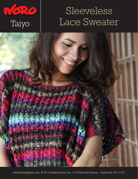

# Sleeveless Taiyo Lace Sweater